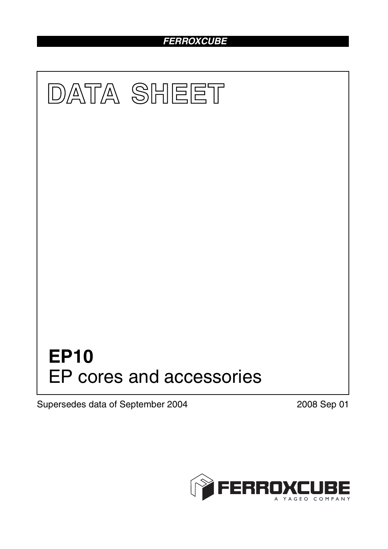# *FERROXCUBE*



Supersedes data of September 2004 2008 Sep 01

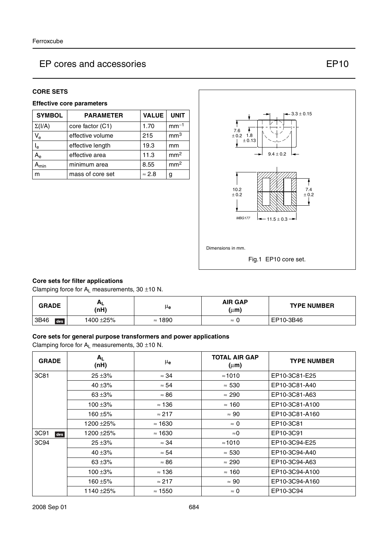#### **CORE SETS**

## **Effective core parameters**

| <b>SYMBOL</b>             | <b>PARAMETER</b> | <b>VALUE</b>  | <b>UNIT</b>     |
|---------------------------|------------------|---------------|-----------------|
| $\Sigma(I/A)$             | core factor (C1) | 1.70          | $mm-1$          |
| $V_{e}$                   | effective volume | 215           | mm <sup>3</sup> |
| $\mathsf{l}_{\mathsf{e}}$ | effective length | 19.3          | mm              |
| A <sub>e</sub>            | effective area   | 11.3          | mm <sup>2</sup> |
| <b>min</b>                | minimum area     | 8.55          | mm <sup>2</sup> |
| m                         | mass of core set | $\approx 2.8$ | g               |



### **Core sets for filter applications**

Clamping force for  $A_L$  measurements, 30  $\pm$ 10 N.

| <b>GRADE</b> | <b>AL</b><br>(nH) | μe                | <b>AIR GAP</b><br>$(\mu m)$ | <b>TYPE NUMBER</b> |
|--------------|-------------------|-------------------|-----------------------------|--------------------|
| 3B46<br>des  | 1400 ±25%         | 1890<br>$\approx$ | $\approx$                   | EP10-3B46          |

#### **Core sets for general purpose transformers and power applications**

Clamping force for  $A_L$  measurements, 30  $\pm$ 10 N.

| <b>GRADE</b> | $A_L$<br>(nH) | μe             | <b>TOTAL AIR GAP</b><br>$(\mu m)$ | <b>TYPE NUMBER</b> |
|--------------|---------------|----------------|-----------------------------------|--------------------|
| 3C81         | $25 + 3%$     | $\approx$ 34   | $\approx 1010$                    | EP10-3C81-E25      |
|              | 40 $\pm$ 3%   | $\approx 54$   | $\approx 530$                     | EP10-3C81-A40      |
|              | 63 $±3%$      | $\approx 86$   | $\approx 290$                     | EP10-3C81-A63      |
|              | 100 $\pm$ 3%  | $\approx$ 136  | $\approx$ 160                     | EP10-3C81-A100     |
|              | 160 ±5%       | $\approx$ 217  | $\approx 90$                      | EP10-3C81-A160     |
|              | 1200 ± 25%    | $\approx$ 1630 | $\approx 0$                       | EP10-3C81          |
| 3C91<br>des  | 1200 ±25%     | $\approx$ 1630 | $\approx$ 0                       | EP10-3C91          |
| 3C94         | $25 + 3%$     | $\approx$ 34   | $\approx 1010$                    | EP10-3C94-E25      |
|              | 40 $\pm$ 3%   | $\approx 54$   | $\approx 530$                     | EP10-3C94-A40      |
|              | 63 $±3%$      | $\approx 86$   | $\approx 290$                     | EP10-3C94-A63      |
|              | 100 $\pm$ 3%  | $\approx$ 136  | $\approx$ 160                     | EP10-3C94-A100     |
|              | 160 ±5%       | $\approx$ 217  | $\approx 90$                      | EP10-3C94-A160     |
|              | 1140 ±25%     | $\approx$ 1550 | $\approx 0$                       | EP10-3C94          |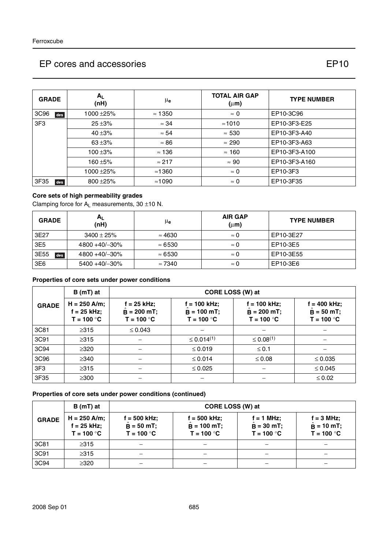| <b>GRADE</b>    | A <sub>1</sub><br>(nH) | $\mu_{\bf e}$  | <b>TOTAL AIR GAP</b><br>$(\mu m)$ | <b>TYPE NUMBER</b> |
|-----------------|------------------------|----------------|-----------------------------------|--------------------|
| 3C96<br>des     | 1000 ± 25%             | $\approx$ 1350 | $\approx 0$                       | EP10-3C96          |
| 3F <sub>3</sub> | $25 + 3%$              | $\approx$ 34   | $\approx 1010$                    | EP10-3F3-E25       |
|                 | 40 $\pm$ 3%            | $\approx 54$   | $\approx 530$                     | EP10-3F3-A40       |
|                 | 63 $±3%$               | $\approx 86$   | $\approx 290$                     | EP10-3F3-A63       |
|                 | $100 + 3%$             | $\approx$ 136  | $\approx$ 160                     | EP10-3F3-A100      |
|                 | 160 $\pm$ 5%           | $\approx$ 217  | $\approx 90$                      | EP10-3F3-A160      |
|                 | $1000 + 25%$           | $\approx$ 1360 | $\approx 0$                       | EP10-3F3           |
| 3F35<br>des     | 800 ± 25%              | $\approx$ 1090 | $\approx 0$                       | EP10-3F35          |

### **Core sets of high permeability grades**

Clamping force for  $A_L$  measurements, 30  $\pm$ 10 N.

| <b>GRADE</b> | ΑL<br>(nH)          | μe             | <b>AIR GAP</b><br>$(\mu m)$ | <b>TYPE NUMBER</b> |
|--------------|---------------------|----------------|-----------------------------|--------------------|
| 3E27         | $3400 \pm 25\%$     | $\approx 4630$ | $\approx 0$                 | EP10-3E27          |
| 3E5          | $4800 + 40/ - 30\%$ | $\approx 6530$ | $\approx 0$                 | EP10-3E5           |
| 3E55<br>des  | $4800 + 40/ - 30\%$ | $\approx 6530$ | $\approx 0$                 | EP10-3E55          |
| 3E6          | $5400 + 40/ - 30\%$ | $\approx 7340$ | $\approx 0$                 | EP10-3E6           |

### **Properties of core sets under power conditions**

|                 | $B(mT)$ at                                      | CORE LOSS (W) at                               |                                               |                                                 |                                                |  |
|-----------------|-------------------------------------------------|------------------------------------------------|-----------------------------------------------|-------------------------------------------------|------------------------------------------------|--|
| <b>GRADE</b>    | $H = 250$ A/m;<br>$f = 25$ kHz;<br>$T = 100 °C$ | $f = 25$ kHz;<br>$B = 200$ mT;<br>$T = 100 °C$ | $= 100$ kHz;<br>$B = 100 mT;$<br>$T = 100 °C$ | $f = 100$ kHz;<br>$B = 200$ mT;<br>$T = 100 °C$ | $f = 400$ kHz;<br>$B = 50 mT;$<br>$T = 100 °C$ |  |
| 3C81            | $\geq$ 315                                      | $\leq 0.043$                                   |                                               |                                                 |                                                |  |
| 3C91            | $\geq 315$                                      |                                                | $\leq 0.014^{(1)}$                            | $\leq 0.08^{(1)}$                               |                                                |  |
| 3C94            | $\geq$ 320                                      |                                                | $\leq 0.019$                                  | $≤ 0.1$                                         |                                                |  |
| 3C96            | $\geq$ 340                                      |                                                | $\leq 0.014$                                  | $\leq 0.08$                                     | $\leq 0.035$                                   |  |
| 3F <sub>3</sub> | $\geq 315$                                      |                                                | $\leq 0.025$                                  |                                                 | $\leq 0.045$                                   |  |
| 3F35            | $\geq$ 300                                      |                                                |                                               |                                                 | $\leq 0.02$                                    |  |

### **Properties of core sets under power conditions (continued)**

|              | B (mT) at                                       | CORE LOSS (W) at                             |                                                 |                                              |                                                     |  |
|--------------|-------------------------------------------------|----------------------------------------------|-------------------------------------------------|----------------------------------------------|-----------------------------------------------------|--|
| <b>GRADE</b> | $H = 250$ A/m;<br>$f = 25$ kHz;<br>$T = 100 °C$ | f = 500 kHz;<br>$B = 50$ mT;<br>$T = 100 °C$ | $f = 500$ kHz;<br>$B = 100$ mT;<br>$T = 100 °C$ | $f = 1$ MHz;<br>$B = 30$ mT;<br>$T = 100 °C$ | $f = 3 MHz$ ;<br>$\hat{B} = 10$ mT;<br>$T = 100 °C$ |  |
| 3C81         | $\geq$ 315                                      |                                              |                                                 |                                              |                                                     |  |
| 3C91         | $\geq 315$                                      |                                              |                                                 |                                              |                                                     |  |
| 3C94         | $\geq$ 320                                      |                                              |                                                 |                                              |                                                     |  |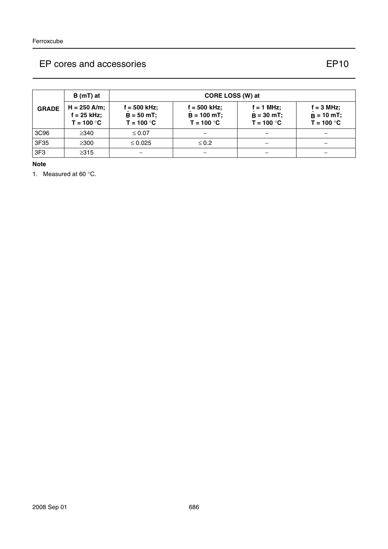|              | B (mT) at                                       | CORE LOSS (W) at                              |                                                 |                                              |                                                     |
|--------------|-------------------------------------------------|-----------------------------------------------|-------------------------------------------------|----------------------------------------------|-----------------------------------------------------|
| <b>GRADE</b> | $H = 250$ A/m;<br>$f = 25$ kHz;<br>$T = 100 °C$ | f = 500 kHz;<br>$B = 50 mT$ ;<br>$T = 100 °C$ | $f = 500$ kHz;<br>$B = 100$ mT;<br>$T = 100 °C$ | $f = 1$ MHz;<br>$B = 30$ mT;<br>$T = 100 °C$ | $f = 3 MHz$ ;<br>$\hat{B} = 10$ mT;<br>$T = 100 °C$ |
| 3C96         | $\geq$ 340                                      | $\leq 0.07$                                   |                                                 |                                              |                                                     |
| 3F35         | $\geq 300$                                      | $\leq 0.025$                                  | $\leq 0.2$                                      |                                              |                                                     |
| 3F3          | $\geq$ 315                                      |                                               |                                                 |                                              |                                                     |

**Note**

1. Measured at 60 °C.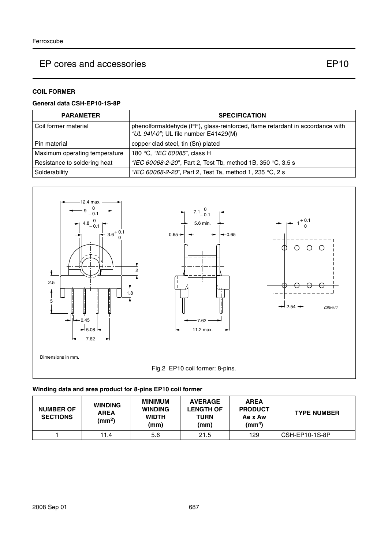## **COIL FORMER**

### **General data CSH-EP10-1S-8P**

| <b>PARAMETER</b>              | <b>SPECIFICATION</b>                                                                                                  |
|-------------------------------|-----------------------------------------------------------------------------------------------------------------------|
| Coil former material          | phenolformaldehyde (PF), glass-reinforced, flame retardant in accordance with<br>"UL 94V-0"; UL file number E41429(M) |
| Pin material                  | copper clad steel, tin (Sn) plated                                                                                    |
| Maximum operating temperature | 180 °C, "IEC 60085", class H                                                                                          |
| Resistance to soldering heat  | "IEC 60068-2-20", Part 2, Test Tb, method 1B, 350 °C, 3.5 s                                                           |
| Solderability                 | "IEC 60068-2-20", Part 2, Test Ta, method 1, 235 °C, 2 s                                                              |



## **Winding data and area product for 8-pins EP10 coil former**

| <b>NUMBER OF</b><br><b>SECTIONS</b> | <b>WINDING</b><br><b>AREA</b><br>(mm <sup>2</sup> ) | <b>MINIMUM</b><br><b>WINDING</b><br><b>WIDTH</b><br>(mm) | <b>AVERAGE</b><br><b>LENGTH OF</b><br>TURN<br>(mm) | <b>AREA</b><br><b>PRODUCT</b><br>Ae x Aw<br>(mm <sup>4</sup> ) | <b>TYPE NUMBER</b> |
|-------------------------------------|-----------------------------------------------------|----------------------------------------------------------|----------------------------------------------------|----------------------------------------------------------------|--------------------|
|                                     | 11.4                                                | 5.6                                                      | 21.5                                               | 129                                                            | CSH-EP10-1S-8P     |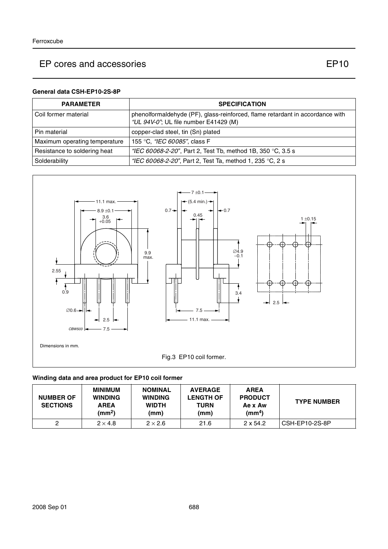### **General data CSH-EP10-2S-8P**

| <b>PARAMETER</b>              | <b>SPECIFICATION</b>                                                                                                   |
|-------------------------------|------------------------------------------------------------------------------------------------------------------------|
| l Coil former material        | phenolformaldehyde (PF), glass-reinforced, flame retardant in accordance with<br>"UL 94V-0"; UL file number E41429 (M) |
| l Pin material                | copper-clad steel, tin (Sn) plated                                                                                     |
| Maximum operating temperature | 155 °C, <i>"IEC 60085"</i> , class F                                                                                   |
| Resistance to soldering heat  | "IEC 60068-2-20", Part 2, Test Tb, method 1B, 350 °C, 3.5 s                                                            |
| Solderability                 | "IEC 60068-2-20", Part 2, Test Ta, method 1, 235 °C, 2 s                                                               |



## **Winding data and area product for EP10 coil former**

| <b>NUMBER OF</b><br><b>SECTIONS</b> | <b>MINIMUM</b><br><b>WINDING</b><br><b>AREA</b><br>(mm <sup>2</sup> ) | <b>NOMINAL</b><br><b>WINDING</b><br><b>WIDTH</b><br>(mm) | <b>AVERAGE</b><br><b>LENGTH OF</b><br><b>TURN</b><br>(mm) | <b>AREA</b><br><b>PRODUCT</b><br>Ae x Aw<br>(mm <sup>4</sup> ) | <b>TYPE NUMBER</b> |
|-------------------------------------|-----------------------------------------------------------------------|----------------------------------------------------------|-----------------------------------------------------------|----------------------------------------------------------------|--------------------|
|                                     | $2 \times 4.8$                                                        | $2 \times 2.6$                                           | 21.6                                                      | $2 \times 54.2$                                                | CSH-EP10-2S-8P     |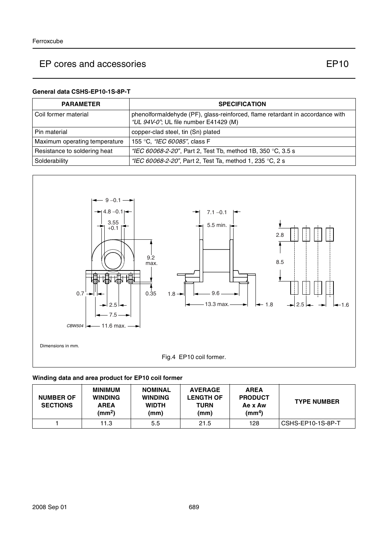#### **General data CSHS-EP10-1S-8P-T**

| <b>PARAMETER</b>              | <b>SPECIFICATION</b>                                                                                                   |
|-------------------------------|------------------------------------------------------------------------------------------------------------------------|
| l Coil former material        | phenolformaldehyde (PF), glass-reinforced, flame retardant in accordance with<br>"UL 94V-0"; UL file number E41429 (M) |
| l Pin material                | copper-clad steel, tin (Sn) plated                                                                                     |
| Maximum operating temperature | 155 °C. "IEC 60085", class F                                                                                           |
| Resistance to soldering heat  | "IEC 60068-2-20", Part 2, Test Tb, method 1B, 350 °C, 3.5 s                                                            |
| Solderability                 | "IEC 60068-2-20", Part 2, Test Ta, method 1, 235 °C, 2 s                                                               |



### **Winding data and area product for EP10 coil former**

| <b>NUMBER OF</b><br><b>SECTIONS</b> | <b>MINIMUM</b><br><b>WINDING</b><br><b>AREA</b><br>(mm $^2$ ) | <b>NOMINAL</b><br><b>WINDING</b><br><b>WIDTH</b><br>(mm) | <b>AVERAGE</b><br><b>LENGTH OF</b><br><b>TURN</b><br>(mm) | <b>AREA</b><br><b>PRODUCT</b><br>Ae x Aw<br>(mm <sup>4</sup> ) | <b>TYPE NUMBER</b> |
|-------------------------------------|---------------------------------------------------------------|----------------------------------------------------------|-----------------------------------------------------------|----------------------------------------------------------------|--------------------|
|                                     | 11.3                                                          | 5.5                                                      | 21.5                                                      | 128                                                            | CSHS-EP10-1S-8P-T  |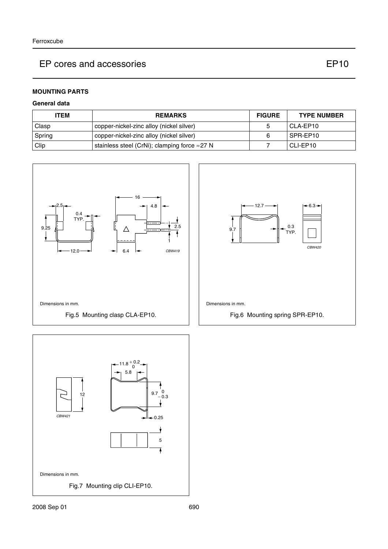CBW420

## **MOUNTING PARTS**

### **General data**

| <b>ITEM</b> | <b>REMARKS</b>                                        | <b>FIGURE</b> | <b>TYPE NUMBER</b> |
|-------------|-------------------------------------------------------|---------------|--------------------|
| Clasp       | copper-nickel-zinc alloy (nickel silver)              |               | CLA-EP10           |
| Spring      | copper-nickel-zinc alloy (nickel silver)              |               | SPR-EP10           |
| Clip        | stainless steel (CrNi); clamping force $\approx$ 27 N |               | CLI-EP10           |